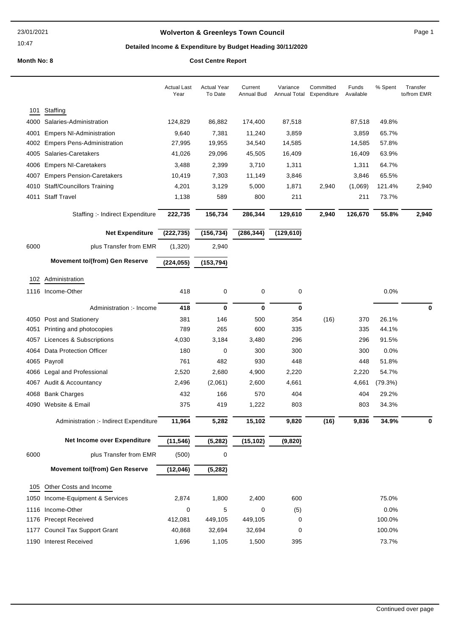# **Wolverton & Greenleys Town Council Page 1** Page 1

# **Detailed Income & Expenditure by Budget Heading 30/11/2020**

|      |                                        | <b>Actual Last</b><br>Year | <b>Actual Year</b><br>To Date | Current<br>Annual Bud | Variance<br><b>Annual Total</b> | Committed<br>Expenditure | Funds<br>Available | % Spent | Transfer<br>to/from EMR |
|------|----------------------------------------|----------------------------|-------------------------------|-----------------------|---------------------------------|--------------------------|--------------------|---------|-------------------------|
| 101  | Staffing                               |                            |                               |                       |                                 |                          |                    |         |                         |
| 4000 | Salaries-Administration                | 124,829                    | 86,882                        | 174,400               | 87,518                          |                          | 87,518             | 49.8%   |                         |
| 4001 | <b>Empers NI-Administration</b>        | 9,640                      | 7,381                         | 11,240                | 3,859                           |                          | 3,859              | 65.7%   |                         |
| 4002 | <b>Empers Pens-Administration</b>      | 27,995                     | 19,955                        | 34,540                | 14,585                          |                          | 14,585             | 57.8%   |                         |
| 4005 | Salaries-Caretakers                    | 41,026                     | 29,096                        | 45,505                | 16,409                          |                          | 16,409             | 63.9%   |                         |
| 4006 | <b>Empers NI-Caretakers</b>            | 3,488                      | 2,399                         | 3,710                 | 1,311                           |                          | 1,311              | 64.7%   |                         |
| 4007 | <b>Empers Pension-Caretakers</b>       | 10,419                     | 7,303                         | 11,149                | 3,846                           |                          | 3,846              | 65.5%   |                         |
| 4010 | <b>Staff/Councillors Training</b>      | 4,201                      | 3,129                         | 5,000                 | 1,871                           | 2,940                    | (1,069)            | 121.4%  | 2,940                   |
| 4011 | <b>Staff Travel</b>                    | 1,138                      | 589                           | 800                   | 211                             |                          | 211                | 73.7%   |                         |
|      | Staffing :- Indirect Expenditure       | 222,735                    | 156,734                       | 286,344               | 129,610                         | 2,940                    | 126,670            | 55.8%   | 2,940                   |
|      | <b>Net Expenditure</b>                 | (222, 735)                 | (156, 734)                    | (286, 344)            | (129, 610)                      |                          |                    |         |                         |
| 6000 | plus Transfer from EMR                 | (1,320)                    | 2,940                         |                       |                                 |                          |                    |         |                         |
|      | <b>Movement to/(from) Gen Reserve</b>  | (224, 055)                 | (153, 794)                    |                       |                                 |                          |                    |         |                         |
| 102  | Administration                         |                            |                               |                       |                                 |                          |                    |         |                         |
|      | 1116 Income-Other                      | 418                        | 0                             | 0                     | 0                               |                          |                    | 0.0%    |                         |
|      |                                        |                            |                               |                       |                                 |                          |                    |         |                         |
|      | Administration :- Income               | 418                        | 0                             | 0                     | 0                               |                          |                    |         | 0                       |
|      | 4050 Post and Stationery               | 381                        | 146                           | 500                   | 354                             | (16)                     | 370                | 26.1%   |                         |
| 4051 | Printing and photocopies               | 789                        | 265                           | 600                   | 335                             |                          | 335                | 44.1%   |                         |
| 4057 | Licences & Subscriptions               | 4,030                      | 3,184                         | 3,480                 | 296                             |                          | 296                | 91.5%   |                         |
| 4064 | Data Protection Officer                | 180                        | 0                             | 300                   | 300                             |                          | 300                | 0.0%    |                         |
| 4065 | Payroll                                | 761                        | 482                           | 930                   | 448                             |                          | 448                | 51.8%   |                         |
| 4066 | Legal and Professional                 | 2,520                      | 2,680                         | 4,900                 | 2,220                           |                          | 2,220              | 54.7%   |                         |
|      | 4067 Audit & Accountancy               | 2,496                      | (2,061)                       | 2,600                 | 4,661                           |                          | 4,661              | (79.3%) |                         |
| 4068 | <b>Bank Charges</b>                    | 432                        | 166                           | 570                   | 404                             |                          | 404                | 29.2%   |                         |
|      | 4090 Website & Email                   | 375                        | 419                           | 1,222                 | 803                             |                          | 803                | 34.3%   |                         |
|      | Administration :- Indirect Expenditure | 11,964                     | 5,282                         | 15,102                | 9,820                           | (16)                     | 9,836              | 34.9%   |                         |
|      | Net Income over Expenditure            | (11, 546)                  | (5, 282)                      | (15, 102)             | (9, 820)                        |                          |                    |         |                         |
| 6000 | plus Transfer from EMR                 | (500)                      | 0                             |                       |                                 |                          |                    |         |                         |
|      | <b>Movement to/(from) Gen Reserve</b>  | (12,046)                   | (5, 282)                      |                       |                                 |                          |                    |         |                         |
| 105  | Other Costs and Income                 |                            |                               |                       |                                 |                          |                    |         |                         |
| 1050 | Income-Equipment & Services            | 2,874                      | 1,800                         | 2,400                 | 600                             |                          |                    | 75.0%   |                         |
|      | 1116 Income-Other                      | 0                          | 5                             | 0                     | (5)                             |                          |                    | 0.0%    |                         |
|      | 1176 Precept Received                  | 412,081                    | 449,105                       | 449,105               | 0                               |                          |                    | 100.0%  |                         |
|      | 1177 Council Tax Support Grant         | 40,868                     | 32,694                        | 32,694                | 0                               |                          |                    | 100.0%  |                         |
|      | 1190 Interest Received                 | 1,696                      | 1,105                         | 1,500                 | 395                             |                          |                    | 73.7%   |                         |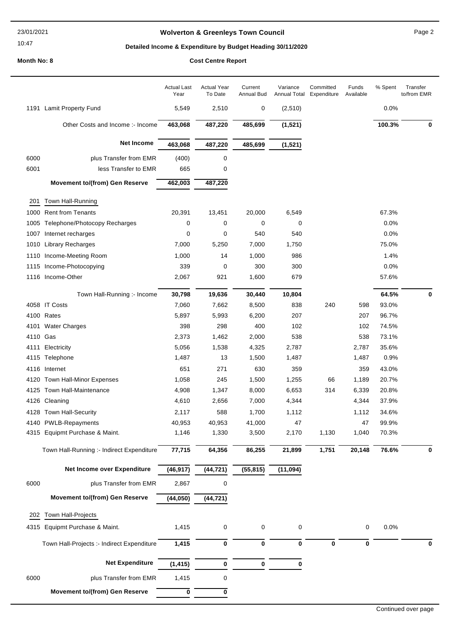#### 23/01/2021

# 10:47

# **Wolverton & Greenleys Town Council** Magness Council Page 2

# **Detailed Income & Expenditure by Budget Heading 30/11/2020**

|          |                                            | <b>Actual Last</b><br>Year | <b>Actual Year</b><br>To Date | Current<br>Annual Bud | Variance  | Committed<br>Annual Total Expenditure | Funds<br>Available | % Spent | Transfer<br>to/from EMR |
|----------|--------------------------------------------|----------------------------|-------------------------------|-----------------------|-----------|---------------------------------------|--------------------|---------|-------------------------|
|          | 1191 Lamit Property Fund                   | 5,549                      | 2,510                         | 0                     | (2, 510)  |                                       |                    | 0.0%    |                         |
|          | Other Costs and Income :- Income           | 463,068                    | 487,220                       | 485,699               | (1, 521)  |                                       |                    | 100.3%  | 0                       |
|          | <b>Net Income</b>                          | 463,068                    | 487,220                       | 485,699               | (1, 521)  |                                       |                    |         |                         |
| 6000     | plus Transfer from EMR                     | (400)                      | 0                             |                       |           |                                       |                    |         |                         |
| 6001     | less Transfer to EMR                       | 665                        | 0                             |                       |           |                                       |                    |         |                         |
|          | <b>Movement to/(from) Gen Reserve</b>      | 462,003                    | 487,220                       |                       |           |                                       |                    |         |                         |
| 201      | Town Hall-Running                          |                            |                               |                       |           |                                       |                    |         |                         |
| 1000     | <b>Rent from Tenants</b>                   | 20,391                     | 13,451                        | 20,000                | 6,549     |                                       |                    | 67.3%   |                         |
| 1005     | Telephone/Photocopy Recharges              | 0                          | 0                             | 0                     | 0         |                                       |                    | 0.0%    |                         |
|          | 1007 Internet recharges                    | 0                          | 0                             | 540                   | 540       |                                       |                    | 0.0%    |                         |
|          | 1010 Library Recharges                     | 7,000                      | 5,250                         | 7,000                 | 1,750     |                                       |                    | 75.0%   |                         |
| 1110     | Income-Meeting Room                        | 1,000                      | 14                            | 1,000                 | 986       |                                       |                    | 1.4%    |                         |
|          | 1115 Income-Photocopying                   | 339                        | 0                             | 300                   | 300       |                                       |                    | 0.0%    |                         |
|          | 1116 Income-Other                          | 2,067                      | 921                           | 1,600                 | 679       |                                       |                    | 57.6%   |                         |
|          | Town Hall-Running :- Income                | 30,798                     | 19,636                        | 30,440                | 10,804    |                                       |                    | 64.5%   | $\mathbf 0$             |
|          | 4058 IT Costs                              | 7,060                      | 7,662                         | 8,500                 | 838       | 240                                   | 598                | 93.0%   |                         |
|          | 4100 Rates                                 | 5,897                      | 5,993                         | 6,200                 | 207       |                                       | 207                | 96.7%   |                         |
|          | 4101 Water Charges                         | 398                        | 298                           | 400                   | 102       |                                       | 102                | 74.5%   |                         |
| 4110 Gas |                                            | 2,373                      | 1,462                         | 2,000                 | 538       |                                       | 538                | 73.1%   |                         |
| 4111     | Electricity                                | 5,056                      | 1,538                         | 4,325                 | 2,787     |                                       | 2,787              | 35.6%   |                         |
|          | 4115 Telephone                             | 1,487                      | 13                            | 1,500                 | 1,487     |                                       | 1,487              | 0.9%    |                         |
|          | 4116 Internet                              | 651                        | 271                           | 630                   | 359       |                                       | 359                | 43.0%   |                         |
|          | 4120 Town Hall-Minor Expenses              | 1,058                      | 245                           | 1,500                 | 1,255     | 66                                    | 1,189              | 20.7%   |                         |
|          | 4125 Town Hall-Maintenance                 | 4,908                      | 1,347                         | 8,000                 | 6,653     | 314                                   | 6,339              | 20.8%   |                         |
|          | 4126 Cleaning                              | 4,610                      | 2,656                         | 7,000                 | 4,344     |                                       | 4,344              | 37.9%   |                         |
|          | 4128 Town Hall-Security                    | 2,117                      | 588                           | 1,700                 | 1,112     |                                       | 1,112              | 34.6%   |                         |
|          | 4140 PWLB-Repayments                       | 40,953                     | 40,953                        | 41,000                | 47        |                                       | 47                 | 99.9%   |                         |
|          | 4315 Equipmt Purchase & Maint.             | 1,146                      | 1,330                         | 3,500                 | 2,170     | 1,130                                 | 1,040              | 70.3%   |                         |
|          | Town Hall-Running :- Indirect Expenditure  | 77,715                     | 64,356                        | 86,255                | 21,899    | 1,751                                 | 20,148             | 76.6%   | 0                       |
|          | Net Income over Expenditure                | (46, 917)                  | (44, 721)                     | (55, 815)             | (11, 094) |                                       |                    |         |                         |
| 6000     | plus Transfer from EMR                     | 2,867                      | 0                             |                       |           |                                       |                    |         |                         |
|          | <b>Movement to/(from) Gen Reserve</b>      | (44, 050)                  | (44, 721)                     |                       |           |                                       |                    |         |                         |
| 202      | <b>Town Hall-Projects</b>                  |                            |                               |                       |           |                                       |                    |         |                         |
|          | 4315 Equipmt Purchase & Maint.             | 1,415                      | 0                             | 0                     | 0         |                                       | 0                  | 0.0%    |                         |
|          |                                            |                            |                               |                       |           |                                       |                    |         |                         |
|          | Town Hall-Projects :- Indirect Expenditure | 1,415                      | 0                             | 0                     | 0         | $\bf{0}$                              | 0                  |         | 0                       |
|          | <b>Net Expenditure</b>                     | (1, 415)                   | 0                             | 0                     | 0         |                                       |                    |         |                         |
| 6000     | plus Transfer from EMR                     | 1,415                      | 0                             |                       |           |                                       |                    |         |                         |
|          | <b>Movement to/(from) Gen Reserve</b>      | 0                          | 0                             |                       |           |                                       |                    |         |                         |
|          |                                            |                            |                               |                       |           |                                       |                    |         |                         |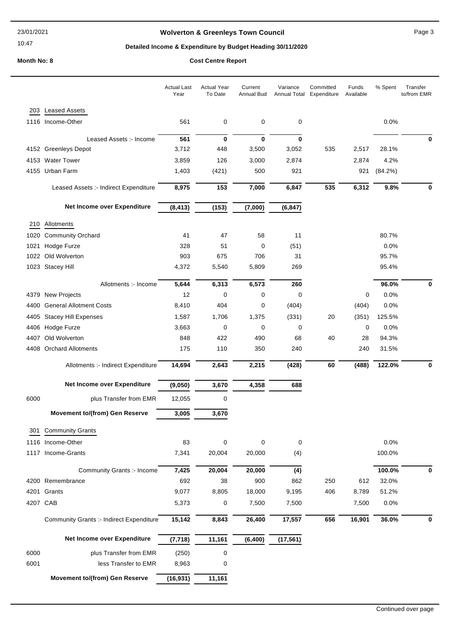# **Wolverton & Greenleys Town Council** Magness Council Page 3

# **Detailed Income & Expenditure by Budget Heading 30/11/2020**

|  | <b>COST CENTE REPORT</b> |  |
|--|--------------------------|--|
|  |                          |  |

|      |                                                 | <b>Actual Last</b><br>Year | <b>Actual Year</b><br>To Date | Current<br>Annual Bud | Variance<br>Annual Total | Committed<br>Expenditure | Funds<br>Available | % Spent | Transfer<br>to/from EMR |
|------|-------------------------------------------------|----------------------------|-------------------------------|-----------------------|--------------------------|--------------------------|--------------------|---------|-------------------------|
| 203  | <b>Leased Assets</b>                            |                            |                               |                       |                          |                          |                    |         |                         |
|      | 1116 Income-Other                               | 561                        | 0                             | 0                     | 0                        |                          |                    | 0.0%    |                         |
|      | Leased Assets :- Income                         | 561                        | 0                             | $\mathbf 0$           | $\mathbf 0$              |                          |                    |         | 0                       |
|      | 4152 Greenleys Depot                            | 3,712                      | 448                           | 3,500                 | 3,052                    | 535                      | 2,517              | 28.1%   |                         |
|      | 4153 Water Tower                                | 3,859                      | 126                           | 3,000                 | 2,874                    |                          | 2,874              | 4.2%    |                         |
|      | 4155 Urban Farm                                 | 1,403                      | (421)                         | 500                   | 921                      |                          | 921                | (84.2%) |                         |
|      | Leased Assets :- Indirect Expenditure           | 8,975                      | 153                           | 7,000                 | 6,847                    | 535                      | 6,312              | 9.8%    | 0                       |
|      | Net Income over Expenditure                     | (8, 413)                   | (153)                         | (7,000)               | (6, 847)                 |                          |                    |         |                         |
| 210  | Allotments                                      |                            |                               |                       |                          |                          |                    |         |                         |
| 1020 | <b>Community Orchard</b>                        | 41                         | 47                            | 58                    | 11                       |                          |                    | 80.7%   |                         |
| 1021 | Hodge Furze                                     | 328                        | 51                            | 0                     | (51)                     |                          |                    | 0.0%    |                         |
|      | 1022 Old Wolverton                              | 903                        | 675                           | 706                   | 31                       |                          |                    | 95.7%   |                         |
|      | 1023 Stacey Hill                                | 4,372                      | 5,540                         | 5,809                 | 269                      |                          |                    | 95.4%   |                         |
|      | Allotments :- Income                            | 5,644                      | 6,313                         | 6,573                 | 260                      |                          |                    | 96.0%   | 0                       |
|      | 4379 New Projects                               | 12                         | 0                             | 0                     | 0                        |                          | 0                  | 0.0%    |                         |
|      | 4400 General Allotment Costs                    | 8,410                      | 404                           | 0                     | (404)                    |                          | (404)              | 0.0%    |                         |
| 4405 | <b>Stacey Hill Expenses</b>                     | 1,587                      | 1,706                         | 1,375                 | (331)                    | 20                       | (351)              | 125.5%  |                         |
|      | 4406 Hodge Furze                                | 3,663                      | 0                             | 0                     | 0                        |                          | 0                  | 0.0%    |                         |
| 4407 | Old Wolverton                                   | 848                        | 422                           | 490                   | 68                       | 40                       | 28                 | 94.3%   |                         |
|      | 4408 Orchard Allotments                         | 175                        | 110                           | 350                   | 240                      |                          | 240                | 31.5%   |                         |
|      | Allotments :- Indirect Expenditure              | 14,694                     | 2,643                         | 2,215                 | (428)                    | 60                       | (488)              | 122.0%  | 0                       |
|      | Net Income over Expenditure                     | (9,050)                    | 3,670                         | 4,358                 | 688                      |                          |                    |         |                         |
| 6000 | plus Transfer from EMR                          | 12,055                     | 0                             |                       |                          |                          |                    |         |                         |
|      | <b>Movement to/(from) Gen Reserve</b>           | 3,005                      | 3,670                         |                       |                          |                          |                    |         |                         |
| 301  | <b>Community Grants</b>                         |                            |                               |                       |                          |                          |                    |         |                         |
|      | 1116 Income-Other                               | 83                         | 0                             | 0                     | $\mathbf 0$              |                          |                    | 0.0%    |                         |
|      | 1117 Income-Grants                              | 7,341                      | 20,004                        | 20,000                | (4)                      |                          |                    | 100.0%  |                         |
|      | Community Grants :- Income                      | 7,425                      | 20,004                        | 20,000                | (4)                      |                          |                    | 100.0%  | 0                       |
|      | 4200 Remembrance                                | 692                        | 38                            | 900                   | 862                      | 250                      | 612                | 32.0%   |                         |
|      | 4201 Grants                                     | 9,077                      | 8,805                         | 18,000                | 9,195                    | 406                      | 8,789              | 51.2%   |                         |
|      | 4207 CAB                                        | 5,373                      | 0                             | 7,500                 | 7,500                    |                          | 7,500              | 0.0%    |                         |
|      | <b>Community Grants :- Indirect Expenditure</b> | 15,142                     | 8,843                         | 26,400                | 17,557                   | 656                      | 16,901             | 36.0%   | 0                       |
|      | Net Income over Expenditure                     | (7, 718)                   | 11,161                        | (6, 400)              | (17, 561)                |                          |                    |         |                         |
| 6000 | plus Transfer from EMR                          | (250)                      | $\pmb{0}$                     |                       |                          |                          |                    |         |                         |
| 6001 | less Transfer to EMR                            | 8,963                      | 0                             |                       |                          |                          |                    |         |                         |
|      | <b>Movement to/(from) Gen Reserve</b>           | (16, 931)                  | 11,161                        |                       |                          |                          |                    |         |                         |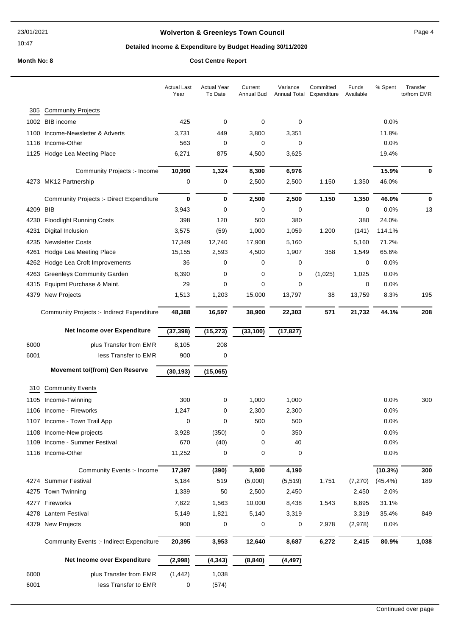# **Wolverton & Greenleys Town Council** Magnetic Page 4

# **Detailed Income & Expenditure by Budget Heading 30/11/2020**

|      |                                                 | <b>Actual Last</b><br>Year | <b>Actual Year</b><br>To Date | Current<br>Annual Bud | Variance       | Committed<br>Annual Total Expenditure | Funds<br>Available | % Spent    | Transfer<br>to/from EMR |
|------|-------------------------------------------------|----------------------------|-------------------------------|-----------------------|----------------|---------------------------------------|--------------------|------------|-------------------------|
| 305  | <b>Community Projects</b>                       |                            |                               |                       |                |                                       |                    |            |                         |
|      | 1002 BIB income                                 | 425                        | 0                             | 0                     | 0              |                                       |                    | 0.0%       |                         |
| 1100 | Income-Newsletter & Adverts                     | 3,731                      | 449                           | 3,800                 | 3,351          |                                       |                    | 11.8%      |                         |
| 1116 | Income-Other                                    | 563                        | 0                             | 0                     | 0              |                                       |                    | 0.0%       |                         |
|      | 1125 Hodge Lea Meeting Place                    | 6,271                      | 875                           | 4,500                 | 3,625          |                                       |                    | 19.4%      |                         |
|      | Community Projects :- Income                    | 10,990                     |                               |                       |                |                                       |                    | 15.9%      | 0                       |
|      | 4273 MK12 Partnership                           | 0                          | 1,324<br>0                    | 8,300<br>2,500        | 6,976<br>2,500 | 1,150                                 | 1,350              | 46.0%      |                         |
|      |                                                 |                            |                               |                       |                |                                       |                    |            |                         |
|      | <b>Community Projects :- Direct Expenditure</b> | $\bf{0}$                   | 0                             | 2,500                 | 2,500          | 1,150                                 | 1,350              | 46.0%      | $\bf{0}$                |
| 4209 | BIB                                             | 3,943                      | 0                             | 0                     | 0              |                                       | 0                  | 0.0%       | 13                      |
| 4230 | <b>Floodlight Running Costs</b>                 | 398                        | 120                           | 500                   | 380            |                                       | 380                | 24.0%      |                         |
| 4231 | Digital Inclusion                               | 3,575                      | (59)                          | 1,000                 | 1,059          | 1,200                                 | (141)              | 114.1%     |                         |
| 4235 | <b>Newsletter Costs</b>                         | 17,349                     | 12,740                        | 17,900                | 5,160          |                                       | 5,160              | 71.2%      |                         |
| 4261 | Hodge Lea Meeting Place                         | 15,155                     | 2,593                         | 4,500                 | 1,907          | 358                                   | 1,549              | 65.6%      |                         |
| 4262 | Hodge Lea Croft Improvements                    | 36                         | 0                             | 0                     | 0              |                                       | 0                  | 0.0%       |                         |
| 4263 | <b>Greenleys Community Garden</b>               | 6,390                      | 0                             | 0                     | 0              | (1,025)                               | 1,025              | 0.0%       |                         |
| 4315 | Equipmt Purchase & Maint.                       | 29                         | 0                             | 0                     | 0              |                                       | 0                  | 0.0%       |                         |
| 4379 | <b>New Projects</b>                             | 1,513                      | 1,203                         | 15,000                | 13,797         | 38                                    | 13,759             | 8.3%       | 195                     |
|      | Community Projects :- Indirect Expenditure      | 48,388                     | 16,597                        | 38,900                | 22,303         | 571                                   | 21,732             | 44.1%      | 208                     |
|      | Net Income over Expenditure                     | (37, 398)                  | (15, 273)                     | (33, 100)             | (17, 827)      |                                       |                    |            |                         |
| 6000 | plus Transfer from EMR                          | 8,105                      | 208                           |                       |                |                                       |                    |            |                         |
| 6001 | less Transfer to EMR                            | 900                        | 0                             |                       |                |                                       |                    |            |                         |
|      | <b>Movement to/(from) Gen Reserve</b>           | (30, 193)                  | (15,065)                      |                       |                |                                       |                    |            |                         |
| 310  | <b>Community Events</b>                         |                            |                               |                       |                |                                       |                    |            |                         |
|      | 1105 Income-Twinning                            | 300                        | 0                             | 1,000                 | 1,000          |                                       |                    | 0.0%       | 300                     |
|      | 1106 Income - Fireworks                         | 1,247                      | 0                             | 2,300                 | 2,300          |                                       |                    | 0.0%       |                         |
|      | 1107 Income - Town Trail App                    | $\Omega$                   | 0                             | 500                   | 500            |                                       |                    | 0.0%       |                         |
|      | 1108 Income-New projects                        | 3,928                      | (350)                         | 0                     | 350            |                                       |                    | $0.0\%$    |                         |
|      | 1109 Income - Summer Festival                   | 670                        | (40)                          | 0                     | 40             |                                       |                    | 0.0%       |                         |
|      | 1116 Income-Other                               | 11,252                     | 0                             | 0                     | 0              |                                       |                    | 0.0%       |                         |
|      | Community Events :- Income                      | 17,397                     | (390)                         | 3,800                 | 4,190          |                                       |                    | (10.3%)    | 300                     |
|      | 4274 Summer Festival                            | 5,184                      | 519                           | (5,000)               | (5, 519)       | 1,751                                 | (7, 270)           | $(45.4\%)$ | 189                     |
|      | 4275 Town Twinning                              | 1,339                      | 50                            | 2,500                 | 2,450          |                                       | 2,450              | 2.0%       |                         |
|      |                                                 |                            |                               |                       |                |                                       |                    |            |                         |
|      | 4277 Fireworks                                  | 7,822                      | 1,563                         | 10,000                | 8,438          | 1,543                                 | 6,895              | 31.1%      |                         |
|      | 4278 Lantern Festival                           | 5,149                      | 1,821                         | 5,140                 | 3,319          |                                       | 3,319              | 35.4%      | 849                     |
| 4379 | New Projects                                    | 900                        | 0                             | 0                     | 0              | 2,978                                 | (2,978)            | 0.0%       |                         |
|      | <b>Community Events :- Indirect Expenditure</b> | 20,395                     | 3,953                         | 12,640                | 8,687          | 6,272                                 | 2,415              | 80.9%      | 1,038                   |
|      | Net Income over Expenditure                     | (2,998)                    | (4, 343)                      | (8, 840)              | (4, 497)       |                                       |                    |            |                         |
| 6000 | plus Transfer from EMR                          | (1, 442)                   | 1,038                         |                       |                |                                       |                    |            |                         |
| 6001 | less Transfer to EMR                            | 0                          | (574)                         |                       |                |                                       |                    |            |                         |
|      |                                                 |                            |                               |                       |                |                                       |                    |            |                         |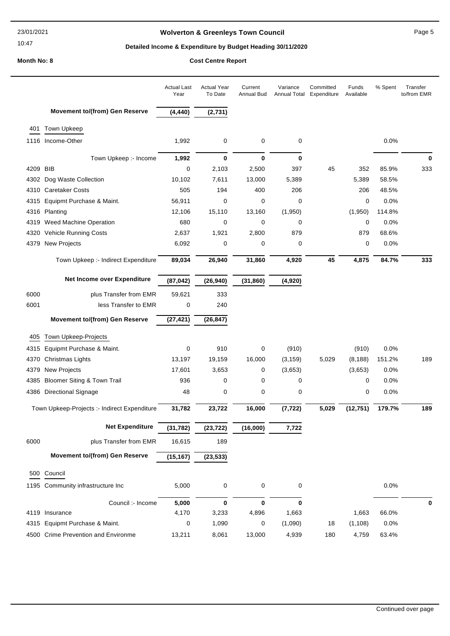# **Wolverton & Greenleys Town Council Page 5** Page 5

# **Detailed Income & Expenditure by Budget Heading 30/11/2020**

|          |                                              | <b>Actual Last</b><br>Year | <b>Actual Year</b><br>To Date | Current<br><b>Annual Bud</b> | Variance<br>Annual Total | Committed<br>Expenditure | Funds<br>Available | % Spent | Transfer<br>to/from EMR |
|----------|----------------------------------------------|----------------------------|-------------------------------|------------------------------|--------------------------|--------------------------|--------------------|---------|-------------------------|
|          | <b>Movement to/(from) Gen Reserve</b>        | (4, 440)                   | (2,731)                       |                              |                          |                          |                    |         |                         |
| 401      | Town Upkeep                                  |                            |                               |                              |                          |                          |                    |         |                         |
|          | 1116 Income-Other                            | 1,992                      | 0                             | 0                            | 0                        |                          |                    | 0.0%    |                         |
|          | Town Upkeep :- Income                        | 1,992                      | 0                             | $\bf{0}$                     | 0                        |                          |                    |         | 0                       |
| 4209 BIB |                                              | 0                          | 2,103                         | 2,500                        | 397                      | 45                       | 352                | 85.9%   | 333                     |
|          | 4302 Dog Waste Collection                    | 10,102                     | 7,611                         | 13,000                       | 5,389                    |                          | 5,389              | 58.5%   |                         |
|          | 4310 Caretaker Costs                         | 505                        | 194                           | 400                          | 206                      |                          | 206                | 48.5%   |                         |
| 4315     | Equipmt Purchase & Maint.                    | 56,911                     | 0                             | 0                            | 0                        |                          | 0                  | 0.0%    |                         |
|          | 4316 Planting                                | 12,106                     | 15,110                        | 13,160                       | (1,950)                  |                          | (1,950)            | 114.8%  |                         |
| 4319     | <b>Weed Machine Operation</b>                | 680                        | 0                             | 0                            | 0                        |                          | $\mathbf 0$        | 0.0%    |                         |
| 4320     | Vehicle Running Costs                        | 2,637                      | 1,921                         | 2,800                        | 879                      |                          | 879                | 68.6%   |                         |
|          | 4379 New Projects                            | 6,092                      | 0                             | 0                            | 0                        |                          | $\mathbf 0$        | 0.0%    |                         |
|          | Town Upkeep :- Indirect Expenditure          | 89,034                     | 26,940                        | 31,860                       | 4,920                    | 45                       | 4,875              | 84.7%   | 333                     |
|          | Net Income over Expenditure                  | (87, 042)                  | (26, 940)                     | (31, 860)                    | (4,920)                  |                          |                    |         |                         |
| 6000     | plus Transfer from EMR                       | 59,621                     | 333                           |                              |                          |                          |                    |         |                         |
| 6001     | less Transfer to EMR                         | 0                          | 240                           |                              |                          |                          |                    |         |                         |
|          | <b>Movement to/(from) Gen Reserve</b>        | (27, 421)                  | (26, 847)                     |                              |                          |                          |                    |         |                         |
| 405      | Town Upkeep-Projects                         |                            |                               |                              |                          |                          |                    |         |                         |
| 4315     | Equipmt Purchase & Maint.                    | 0                          | 910                           | 0                            | (910)                    |                          | (910)              | 0.0%    |                         |
| 4370     | Christmas Lights                             | 13,197                     | 19,159                        | 16,000                       | (3, 159)                 | 5,029                    | (8, 188)           | 151.2%  | 189                     |
| 4379     | <b>New Projects</b>                          | 17,601                     | 3,653                         | 0                            | (3,653)                  |                          | (3,653)            | 0.0%    |                         |
| 4385     | <b>Bloomer Siting &amp; Town Trail</b>       | 936                        | 0                             | $\mathbf 0$                  | 0                        |                          | 0                  | 0.0%    |                         |
|          | 4386 Directional Signage                     | 48                         | 0                             | 0                            | 0                        |                          | 0                  | 0.0%    |                         |
|          |                                              |                            |                               |                              |                          |                          |                    |         |                         |
|          | Town Upkeep-Projects :- Indirect Expenditure | 31,782                     | 23,722                        | 16,000                       | (7, 722)                 | 5,029                    | (12, 751)          | 179.7%  | 189                     |
|          | <b>Net Expenditure</b>                       | (31, 782)                  | (23, 722)                     | (16,000)                     | 7,722                    |                          |                    |         |                         |
| 6000     | plus Transfer from EMR                       | 16,615                     | 189                           |                              |                          |                          |                    |         |                         |
|          | <b>Movement to/(from) Gen Reserve</b>        | (15, 167)                  | (23, 533)                     |                              |                          |                          |                    |         |                         |
|          | 500 Council                                  |                            |                               |                              |                          |                          |                    |         |                         |
|          | 1195 Community infrastructure Inc            | 5,000                      | 0                             | 0                            | $\mathbf 0$              |                          |                    | 0.0%    |                         |
|          | Council :- Income                            | 5,000                      | 0                             | 0                            | 0                        |                          |                    |         | 0                       |
|          | 4119 Insurance                               | 4,170                      | 3,233                         | 4,896                        | 1,663                    |                          | 1,663              | 66.0%   |                         |
|          | 4315 Equipmt Purchase & Maint.               | 0                          | 1,090                         | 0                            | (1,090)                  | 18                       | (1, 108)           | 0.0%    |                         |
|          | 4500 Crime Prevention and Environme          | 13,211                     | 8,061                         | 13,000                       | 4,939                    | 180                      | 4,759              | 63.4%   |                         |